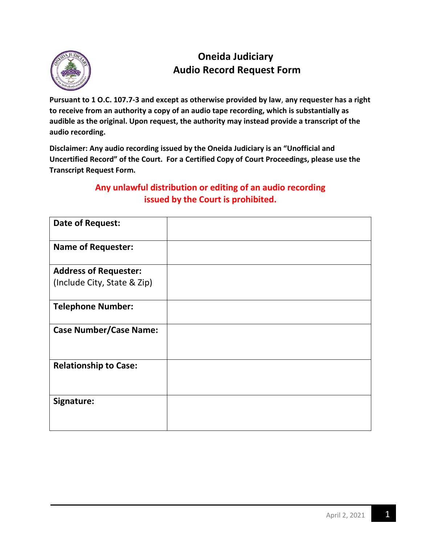

## **Oneida Judiciary Audio Record Request Form**

**Pursuant to 1 O.C. 107.7-3 and except as otherwise provided by law**, **any requester has a right to receive from an authority a copy of an audio tape recording, which is substantially as audible as the original. Upon request, the authority may instead provide a transcript of the audio recording.**

**Disclaimer: Any audio recording issued by the Oneida Judiciary is an "Unofficial and Uncertified Record" of the Court. For a Certified Copy of Court Proceedings, please use the Transcript Request Form.**

## **Any unlawful distribution or editing of an audio recording issued by the Court is prohibited.**

| <b>Date of Request:</b>       |  |
|-------------------------------|--|
| <b>Name of Requester:</b>     |  |
| <b>Address of Requester:</b>  |  |
| (Include City, State & Zip)   |  |
| <b>Telephone Number:</b>      |  |
| <b>Case Number/Case Name:</b> |  |
| <b>Relationship to Case:</b>  |  |
| Signature:                    |  |